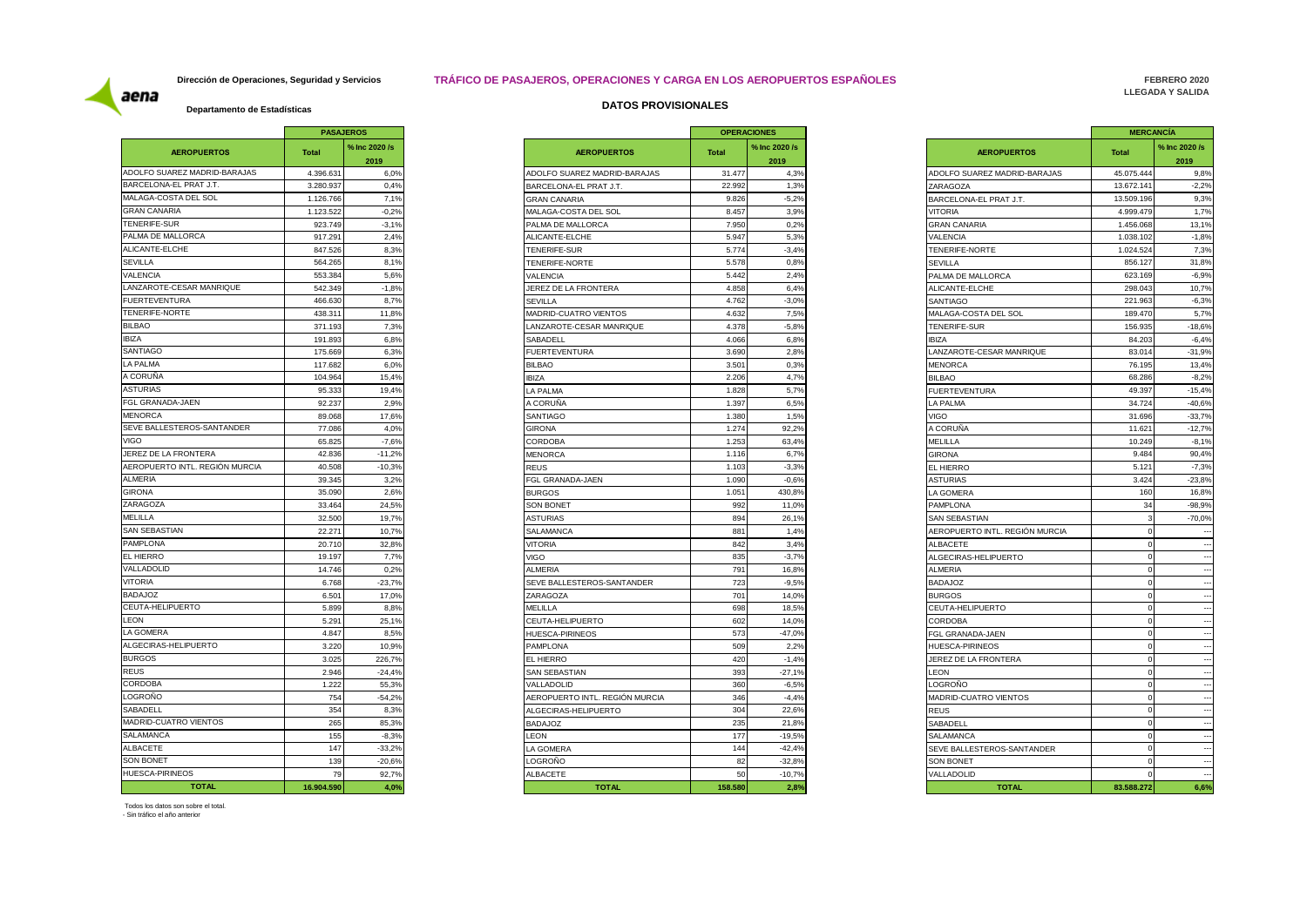# **Dirección de Operaciones, Seguridad y Servicios TRÁFICO DE PASAJEROS, OPERACIONES Y CARGA EN LOS AEROPUERTOS ESPAÑOLES**

**FEBRERO 2020 LLEGADA Y SALIDA** 

aena

|                                    |                  | <b>PASAJEROS</b> |
|------------------------------------|------------------|------------------|
|                                    | % Inc 2020 /s    |                  |
| <b>AEROPUERTOS</b>                 | <b>Total</b>     | 2019             |
| ADOLFO SUAREZ MADRID-BARAJAS       | 4.396.631        | 6,0%             |
| BARCELONA-EL PRAT J.T.             | 3.280.937        | 0,4%             |
| MALAGA-COSTA DEL SOL               | 1.126.766        | 7,1%             |
| <b>GRAN CANARIA</b>                | 1.123.522        | $-0.2%$          |
| TENERIFE-SUR                       | 923.749          | $-3,1%$          |
| PALMA DE MALLORCA                  | 917.291          | 2,4%             |
| ALICANTE-ELCHE                     | 847.526          | 8,3%             |
| <b>SEVILLA</b>                     | 564.265          | 8,1%             |
| VALENCIA                           | 553.384          | 5,6%             |
| LANZAROTE-CESAR MANRIQUE           | 542.349          | $-1,8%$          |
| <b>FUERTEVENTURA</b>               | 466.630          | 8.7%             |
| TENERIFE-NORTE                     | 438.311          | 11,8%            |
| <b>BILBAO</b>                      |                  |                  |
| <b>IBIZA</b>                       | 371.193          | 7,3%             |
|                                    | 191.893          | 6,8%             |
| <b>SANTIAGO</b>                    | 175.669          | 6,3%             |
| <b>LA PALMA</b>                    | 117.682          | 6,0%             |
| A CORUÑA                           | 104.964          | 15,4%            |
| ASTURIAS                           | 95.333           | 19.4%            |
| FGL GRANADA-JAEN                   | 92.237           | 2,9%             |
| <b>MENORCA</b>                     | 89.068           | 17,6%            |
| SEVE BALLESTEROS-SANTANDER         | 77.086           | 4,0%             |
| <b>VIGO</b>                        | 65.825           | $-7.6%$          |
| JEREZ DE LA FRONTERA               | 42.836           | $-11,2%$         |
| AEROPUERTO INTL. REGIÓN MURCIA     | 40.508           | $-10,3%$         |
| ALMERIA                            | 39.345           | 3,2%             |
| <b>GIRONA</b>                      | 35.090           | 2,6%             |
| ZARAGOZA                           | 33.464           | 24,5%            |
| MELILLA                            | 32.500           | 19,7%            |
| <b>SAN SEBASTIAN</b>               | 22.271           | 10,7%            |
| <b>PAMPLONA</b>                    | 20.710           | 32,8%            |
| EL HIERRO                          |                  |                  |
| VALLADOLID                         | 19.197<br>14.746 | 7,7%<br>0,2%     |
| <b>VITORIA</b>                     |                  | $-23.7%$         |
|                                    | 6.768            |                  |
| <b>BADAJOZ</b><br>CEUTA-HELIPUERTO | 6.501            | 17.0%            |
|                                    | 5.899            | 8.8%             |
| LEON                               | 5.291            | 25,1%            |
| LA GOMERA                          | 4.847            | 8,5%             |
| ALGECIRAS-HELIPUERTO               | 3.220            | 10,9%            |
| <b>BURGOS</b>                      | 3.025            | 226,7%           |
| <b>REUS</b>                        | 2.946            | $-24,4%$         |
| CORDOBA                            | 1.222            | 55,3%            |
| LOGROÑO                            | 754              | $-54,2%$         |
| SABADELL                           | 354              | 8,3%             |
| <b>MADRID-CUATRO VIENTOS</b>       | 265              | 85,3%            |
| SALAMANCA                          | 155              | $-8,3%$          |
| ALBACETE                           | 147              | $-33,2%$         |
| <b>SON BONET</b>                   | 139              | $-20.6%$         |
| <b>HUESCA-PIRINEOS</b>             | 79               | 92,7%            |
| <b>TOTAL</b>                       | 16.904.590       | 4,0%             |
|                                    |                  |                  |

# **Departamento de Estadísticas DATOS PROVISIONALES**

| <b>Total</b> | % Inc 2020 /s<br>2019 |
|--------------|-----------------------|
| 4.396.631    | 6.0%                  |
| 3.280.937    | 0,4%                  |
| 1.126.766    | 7,1%                  |
| 1.123.522    | $-0.2%$               |
| 923.749      | $-3,1%$               |
| 917.29       | 2,4%                  |
| 847.526      | 8,3%                  |
| 564.265      | 8,1%                  |
| 553.384      | 5,6%                  |
| 542.349      | $-1,8%$               |
| 466,630      | 8.7%                  |
| 438.311      | 11,8%                 |
| 371.193      | 7,3%                  |
| 191.893      | 6,8%                  |
| 175,669      | 6,3%                  |
| 117.682      | 6,0%                  |
| 104.964      | 15,4%                 |
| 95.333       | 19,4%                 |
| 92.237       | 2,9%                  |
|              |                       |
| 89.068       | 17,6%                 |
| 77.086       | 4,0%                  |
| 65.825       | $-7.6%$               |
| 42.836       | $-11,2%$              |
| 40.508       | $-10,3%$              |
| 39.345       | 3,2%                  |
| 35.090       | 2,6%                  |
| 33,464       | 24,5%                 |
| 32.500       | 19,7%                 |
| 22.27'       | 10,7%                 |
| 20.710       | 32,8%                 |
| 19.197       | 7,7%                  |
| 14.746       | 0,2%                  |
| 6.768        | $-23.7%$              |
| 6.501        | 17.0%                 |
| 5.899        | 8,8%                  |
| 5.29'        | 25,1%                 |
| 4.847        | 8,5%                  |
| 3.220        | 10,9%                 |
| 3.025        | 226,7%                |
| 2.946        | $-24,4%$              |
| 1.222        | 55,3%                 |
| 754          | $-54,2%$              |
|              | 354<br>8,3%           |
|              | 265<br>85.3%          |
|              | 155<br>$-8,3%$        |
| 147          | $-33,2%$              |
|              | 139<br>$-20,6%$       |
|              | 92.7%<br>79           |
|              |                       |

|                | <b>PASAJEROS</b> |                                | <b>OPERACIONES</b> |               |
|----------------|------------------|--------------------------------|--------------------|---------------|
|                | % Inc 2020 /s    | <b>AEROPUERTOS</b>             | <b>Total</b>       | % Inc 2020 /s |
|                | 2019             |                                |                    | 2019          |
| 6.631          | 6,0%             | ADOLFO SUAREZ MADRID-BARAJAS   | 31.477             | 4,3%          |
|                | 0.4%             | BARCELONA-EL PRAT J.T.         | 22.992             | 1,3%          |
|                | 7,1%             | <b>GRAN CANARIA</b>            | 9.826              | $-5,2%$       |
| 6.766<br>3.522 | $-0.2%$          | MALAGA-COSTA DEL SOL           | 8.457              | 3.9%          |
|                | $-3,1%$          | PALMA DE MALLORCA              | 7.950              | 0,2%          |
| 7.291          | 2,4%             | ALICANTE-ELCHE                 | 5.947              | 5,3%          |
| 7.526          | 8,3%             | TENERIFE-SUR                   | 5.774              | $-3,4%$       |
| 4.265          | 8,1%             | TENERIFE-NORTE                 | 5.578              | 0.8%          |
| 3.384          | 5,6%             | VALENCIA                       | 5.442              | 2,4%          |
| 2.349          | $-1,8%$          | JEREZ DE LA FRONTERA           | 4.858              | 6,4%          |
| 6.630          | 8,7%             | <b>SEVILLA</b>                 | 4.762              | $-3,0%$       |
| 8.311          | 11,8%            | MADRID-CUATRO VIENTOS          | 4.632              | 7,5%          |
| 1.193          | 7,3%             | LANZAROTE-CESAR MANRIQUE       | 4.378              | $-5,8%$       |
|                |                  |                                |                    |               |
| 1.893          | 6,8%             | SABADELL                       | 4.066              | 6,8%          |
| 5.669          | 6,3%             | <b>FUERTEVENTURA</b>           | 3.690              | 2,8%          |
| 7.682          | 6,0%             | <b>BILBAO</b>                  | 3.501              | 0,3%          |
| 4.964          | 15.4%            | <b>BIZA</b>                    | 2.206              | 4,7%          |
| 5.333          | 19,4%            | A PALMA                        | 1.828              | 5,7%          |
| 2.237          | 2,9%             | A CORUÑA                       | 1.397              | 6,5%          |
| 9.068          | 17,6%            | SANTIAGO                       | 1.380              | 1,5%          |
| 7.086          | 4,0%             | <b>GIRONA</b>                  | 1.274              | 92,2%         |
| 5.825          | $-7,6%$          | CORDOBA                        | 1.253              | 63,4%         |
| 2.836          | $-11,2%$         | <b>MENORCA</b>                 | 1.116              | 6,7%          |
| 0.508          | $-10.3%$         | <b>REUS</b>                    | 1.103              | $-3.3%$       |
| 9.345          | 3,2%             | FGL GRANADA-JAEN               | 1.090              | $-0.6%$       |
| 5.090          | 2,6%             | <b>BURGOS</b>                  | 1.051              | 430,8%        |
| 3.464          | 24,5%            | SON BONET                      | 992                | 11,0%         |
| 2.500          | 19,7%            | <b>ASTURIAS</b>                | 894                | 26,1%         |
| 2.271          | 10,7%            | SALAMANCA                      | 881                | 1,4%          |
| 0.710          | 32,8%            | <b>VITORIA</b>                 | 842                | 3,4%          |
| 9.197          | 7,7%             | <b>VIGO</b>                    | 835                | $-3,7%$       |
| 4.746          | 0,2%             | ALMERIA                        | 791                | 16,8%         |
| 6.768          | $-23,7%$         | SEVE BALLESTEROS-SANTANDER     | 723                | $-9,5%$       |
| 6.501          | 17,0%            | ZARAGOZA                       | 701                | 14,0%         |
| 5.899          | 8,8%             | MELILLA                        | 698                | 18,5%         |
| 5.291          | 25,1%            | CEUTA-HELIPUERTO               | 602                | 14,0%         |
| 4.847          | 8,5%             | HUESCA-PIRINEOS                | 573                | $-47,0%$      |
| 3.220          | 10.9%            | <b>PAMPLONA</b>                | 509                | 2.2%          |
| 3.025          | 226.7%           | <b>EL HIERRO</b>               | 420                | $-1.4%$       |
| 2.946          | $-24,4%$         |                                | 393                | $-27,1%$      |
|                |                  | <b>SAN SEBASTIAN</b>           |                    |               |
| 1.222          | 55,3%            | VALLADOLID                     | 360                | $-6,5%$       |
| 754            | $-54,2%$         | AEROPUERTO INTL. REGIÓN MURCIA | 346                | $-4,4%$       |
| 354            | 8,3%             | ALGECIRAS-HELIPUERTO           | 304                | 22,6%         |
| 265            | 85,3%            | <b>BADAJOZ</b>                 | 235                | 21,8%         |
| 155            | $-8,3%$          | <b>LEON</b>                    | 177                | $-19.5%$      |
| 147            | $-33,2%$         | A GOMERA                       | 144                | $-42,49$      |
| 139            | $-20,6%$         | LOGROÑO                        | 82                 | $-32,89$      |
| 79             | 92,7%            | <b>ALBACETE</b>                | 50                 | $-10,7%$      |
| 4.590          | 4,0%             | <b>TOTAL</b>                   | 158.580            | 2,8%          |

### Todos los datos son sobre el total.

- Sin tráfico el año anterior